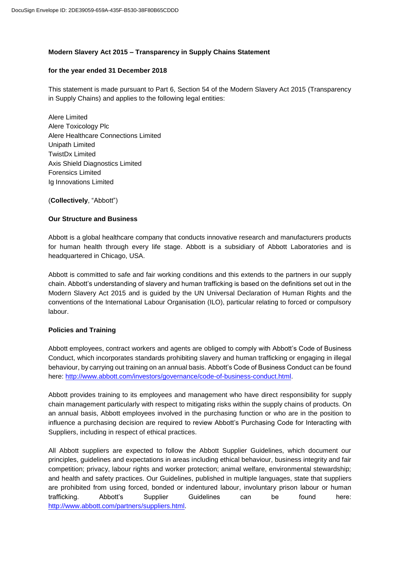# **Modern Slavery Act 2015 – Transparency in Supply Chains Statement**

#### **for the year ended 31 December 2018**

This statement is made pursuant to Part 6, Section 54 of the Modern Slavery Act 2015 (Transparency in Supply Chains) and applies to the following legal entities:

Alere Limited Alere Toxicology Plc Alere Healthcare Connections Limited Unipath Limited TwistDx Limited Axis Shield Diagnostics Limited Forensics Limited Ig Innovations Limited

(**Collectively**, "Abbott")

# **Our Structure and Business**

Abbott is a global healthcare company that conducts innovative research and manufacturers products for human health through every life stage. Abbott is a subsidiary of Abbott Laboratories and is headquartered in Chicago, USA.

Abbott is committed to safe and fair working conditions and this extends to the partners in our supply chain. Abbott's understanding of slavery and human trafficking is based on the definitions set out in the Modern Slavery Act 2015 and is guided by the UN Universal Declaration of Human Rights and the conventions of the International Labour Organisation (ILO), particular relating to forced or compulsory labour.

# **Policies and Training**

Abbott employees, contract workers and agents are obliged to comply with Abbott's Code of Business Conduct, which incorporates standards prohibiting slavery and human trafficking or engaging in illegal behaviour, by carrying out training on an annual basis. Abbott's Code of Business Conduct can be found here: [http://www.abbott.com/investors/governance/code-of-business-conduct.html.](http://www.abbott.com/investors/governance/code-of-business-conduct.html)

Abbott provides training to its employees and management who have direct responsibility for supply chain management particularly with respect to mitigating risks within the supply chains of products. On an annual basis, Abbott employees involved in the purchasing function or who are in the position to influence a purchasing decision are required to review Abbott's Purchasing Code for Interacting with Suppliers, including in respect of ethical practices.

All Abbott suppliers are expected to follow the Abbott Supplier Guidelines, which document our principles, guidelines and expectations in areas including ethical behaviour, business integrity and fair competition; privacy, labour rights and worker protection; animal welfare, environmental stewardship; and health and safety practices. Our Guidelines, published in multiple languages, state that suppliers are prohibited from using forced, bonded or indentured labour, involuntary prison labour or human trafficking. Abbott's Supplier Guidelines can be found here: [http://www.abbott.com/partners/suppliers.html.](http://www.abbott.com/partners/suppliers.html)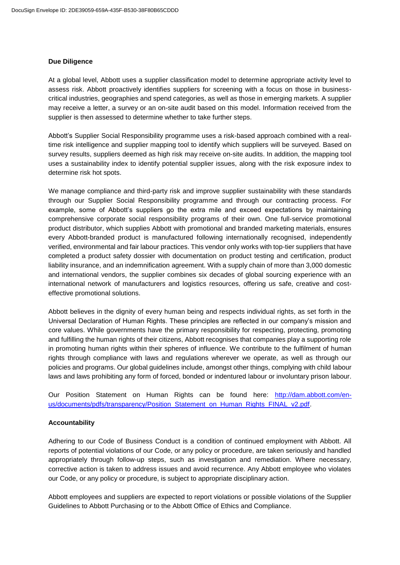#### **Due Diligence**

At a global level, Abbott uses a supplier classification model to determine appropriate activity level to assess risk. Abbott proactively identifies suppliers for screening with a focus on those in businesscritical industries, geographies and spend categories, as well as those in emerging markets. A supplier may receive a letter, a survey or an on-site audit based on this model. Information received from the supplier is then assessed to determine whether to take further steps.

Abbott's Supplier Social Responsibility programme uses a risk-based approach combined with a realtime risk intelligence and supplier mapping tool to identify which suppliers will be surveyed. Based on survey results, suppliers deemed as high risk may receive on-site audits. In addition, the mapping tool uses a sustainability index to identify potential supplier issues, along with the risk exposure index to determine risk hot spots.

We manage compliance and third-party risk and improve supplier sustainability with these standards through our Supplier Social Responsibility programme and through our contracting process. For example, some of Abbott's suppliers go the extra mile and exceed expectations by maintaining comprehensive corporate social responsibility programs of their own. One full-service promotional product distributor, which supplies Abbott with promotional and branded marketing materials, ensures every Abbott-branded product is manufactured following internationally recognised, independently verified, environmental and fair labour practices. This vendor only works with top-tier suppliers that have completed a product safety dossier with documentation on product testing and certification, product liability insurance, and an indemnification agreement. With a supply chain of more than 3,000 domestic and international vendors, the supplier combines six decades of global sourcing experience with an international network of manufacturers and logistics resources, offering us safe, creative and costeffective promotional solutions.

Abbott believes in the dignity of every human being and respects individual rights, as set forth in the Universal Declaration of Human Rights. These principles are reflected in our company's mission and core values. While governments have the primary responsibility for respecting, protecting, promoting and fulfilling the human rights of their citizens, Abbott recognises that companies play a supporting role in promoting human rights within their spheres of influence. We contribute to the fulfilment of human rights through compliance with laws and regulations wherever we operate, as well as through our policies and programs. Our global guidelines include, amongst other things, complying with child labour laws and laws prohibiting any form of forced, bonded or indentured labour or involuntary prison labour.

Our Position Statement on Human Rights can be found here: [http://dam.abbott.com/en](http://dam.abbott.com/en-us/documents/pdfs/transparency/Position_Statement_on_Human_Rights_FINAL_v2.pdf)[us/documents/pdfs/transparency/Position\\_Statement\\_on\\_Human\\_Rights\\_FINAL\\_v2.pdf.](http://dam.abbott.com/en-us/documents/pdfs/transparency/Position_Statement_on_Human_Rights_FINAL_v2.pdf)

# **Accountability**

Adhering to our Code of Business Conduct is a condition of continued employment with Abbott. All reports of potential violations of our Code, or any policy or procedure, are taken seriously and handled appropriately through follow-up steps, such as investigation and remediation. Where necessary, corrective action is taken to address issues and avoid recurrence. Any Abbott employee who violates our Code, or any policy or procedure, is subject to appropriate disciplinary action.

Abbott employees and suppliers are expected to report violations or possible violations of the Supplier Guidelines to Abbott Purchasing or to the Abbott Office of Ethics and Compliance.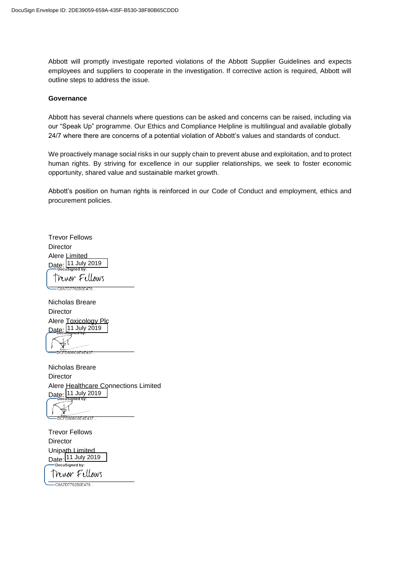Abbott will promptly investigate reported violations of the Abbott Supplier Guidelines and expects employees and suppliers to cooperate in the investigation. If corrective action is required, Abbott will outline steps to address the issue.

#### **Governance**

Abbott has several channels where questions can be asked and concerns can be raised, including via our "Speak Up" programme. Our Ethics and Compliance Helpline is multilingual and available globally 24/7 where there are concerns of a potential violation of Abbott's values and standards of conduct.

We proactively manage social risks in our supply chain to prevent abuse and exploitation, and to protect human rights. By striving for excellence in our supplier relationships, we seek to foster economic opportunity, shared value and sustainable market growth.

Abbott's position on human rights is reinforced in our Code of Conduct and employment, ethics and procurement policies.

Trevor Fellows **Director** Alere Limited Date: 11 July 2019 Mwor Fellows<br>-c8a7D7792B0E479...

Nicholas Breare Director Alere Toxicology Plc Date 11 July 2019

 $-$ <del>D808C6F4F43</del>

Nicholas Breare **Director** Alere Healthcare Connections Limited Date: 11 July 2019

CFD808C6E4E437...

Trevor Fellows **Director** Unipath Limited Date: 11 July 2019

\_\_\_\_\_\_\_\_\_\_\_\_\_\_\_\_\_\_\_\_\_\_\_